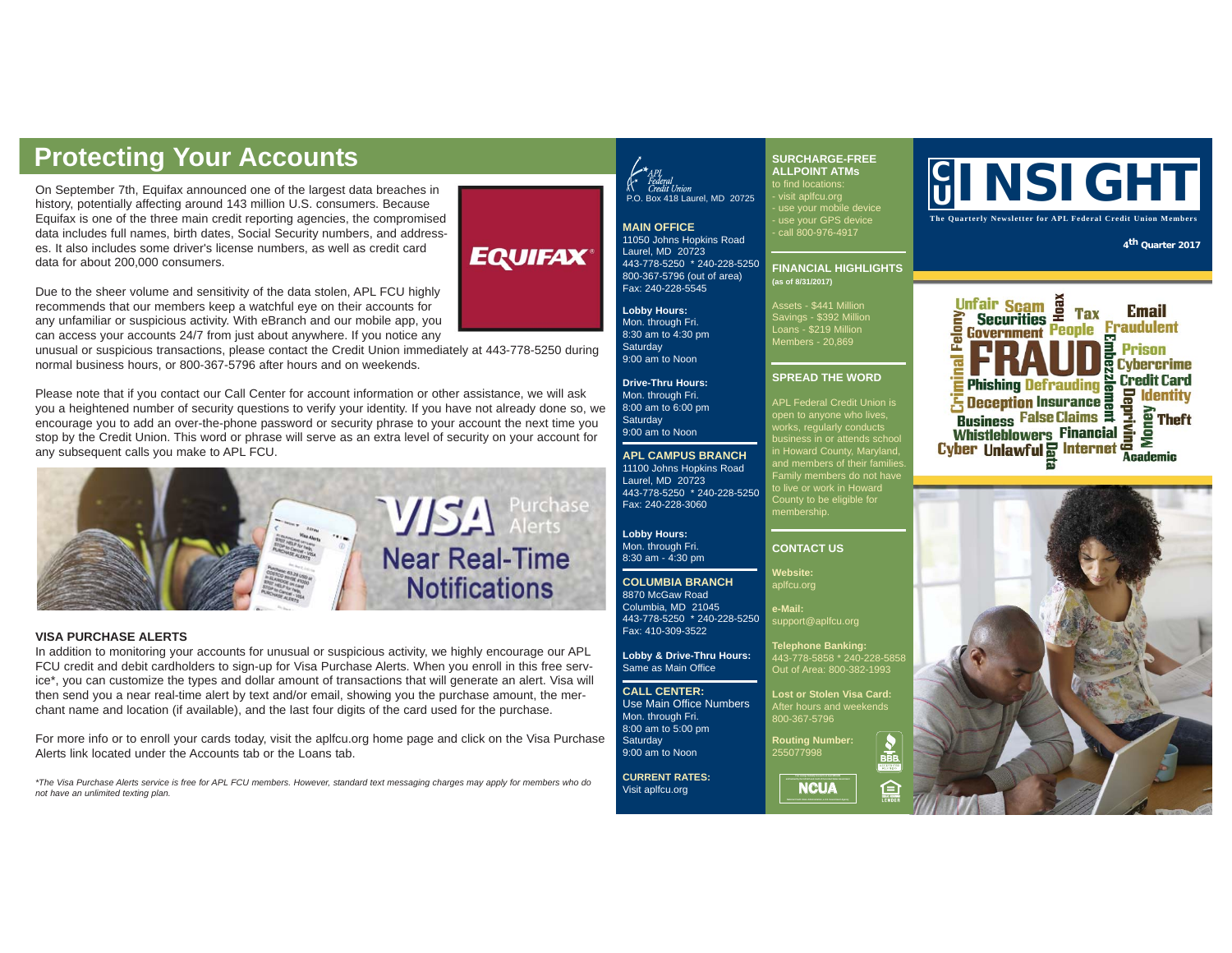On September 7th, Equifax announced one of the largest data breaches in history, potentially affecting around 143 million U.S. consumers. Because Equifax is one of the three main credit reporting agencies, the compromised data includes full names, birth dates, Social Security numbers, and addresses. It also includes some driver's license numbers, as well as credit card data for about 200,000 consumers.

## **EQUIFAX**

Due to the sheer volume and sensitivity of the data stolen, APL FCU highly recommends that our members keep a watchful eye on their accounts for any unfamiliar or suspicious activity. With eBranch and our mobile app, you can access your accounts 24/7 from just about anywhere. If you notice any

unusual or suspicious transactions, please contact the Credit Union immediately at 443-778-5250 during normal business hours, or 800-367-5796 after hours and on weekends.

Please note that if you contact our Call Center for account information or other assistance, we will ask you a heightened number of security questions to verify your identity. If you have not already done so, we encourage you to add an over-the-phone password or security phrase to your account the next time you stop by the Credit Union. This word or phrase will serve as an extra level of security on your account for any subsequent calls you make to APL FCU.



#### **VISA PURCHASE ALERTS**

In addition to monitoring your accounts for unusual or suspicious activity, we highly encourage our APL FCU credit and debit cardholders to sign-up for Visa Purchase Alerts. When you enroll in this free service\*, you can customize the types and dollar amount of transactions that will generate an alert. Visa will then send you a near real-time alert by text and/or email, showing you the purchase amount, the merchant name and location (if available), and the last four digits of the card used for the purchase.

For more info or to enroll your cards today, visit the aplfcu.org home page and click on the Visa Purchase Alerts link located under the Accounts tab or the Loans tab.

*\*The Visa Purchase Alerts service is free for APL FCU members. However, standard text messaging charges may apply for members who do not have an unlimited texting plan.* 

## P.O. Box 418 Laurel, MD 20725

**SURCHARGE-FREE ALLPOINT ATMs**

to find locations: - visit aplfcu.org - use your mobile device - use your GPS device - call 800-976-4917

Assets - \$441 Million Savings - \$392 Million Loans - \$219 Million Members - 20,869

**SPREAD THE WORD** APL Federal Credit Union is works, regularly conducts

membership.

**CONTACT US Website:** aplfcu.org **e-Mail:**

support@aplfcu.org **Telephone Banking:** 443-778-5858 \* 240-228-5858 Out of Area: 800-382-1993 **Lost or Stolen Visa Card:** After hours and weekends 800-367-5796 **Routing Number:** 255077998

**MAIN OFFICE** 11050 Johns Hopkins Road Laurel, MD, 20723 443-778-5250 \* 240-228-5250 800-367-5796 (out of area) Fax: 240-228-5545 **FINANCIAL HIGHLIGHTS (as of 8/31/2017)**

**Lobby Hours:**  Mon. through Fri. 8:30 am to 4:30 pm **Saturday** 9:00 am to Noon

**Drive-Thru Hours:** Mon. through Fri. 8:00 am to 6:00 pm **Saturdav** 9:00 am to Noon

**APL CAMPUS BRANCH** 11100 Johns Hopkins Road Laurel, MD 20723 443-778-5250 \* 240-228-5250 Fax: 240-228-3060

**Lobby Hours:** Mon. through Fri. 8:30 am - 4:30 pm

#### **COLUMBIA BRANCH** 8870 McGaw Road

Columbia, MD 21045 443-778-5250 \* 240-228-5250 Fax: 410-309-3522

**Lobby & Drive-Thru Hours:** Same as Main Office

**CALL CENTER:** Use Main Office Numbers Mon. through Fri. 8:00 am to 5:00 pm **Saturday** 

9:00 am to Noon

**CURRENT RATES:** Visit aplfcu.org

**a**<br>NCUA

≘

### **C Protecting Your Accounts**<br>
On September 7th, Equifax announced one of the largest data breaches in<br> **Examplements** ALLPOINT ATMs<br>
P.O. Box 418 Laurel, MD 20725 - Visit aplfcu.org<br>
P.O. Box 418 Laurel, MD 20725 - Visit apl

**The Quarterly Newsletter for APL Federal Credit Union Members**

**<sup>4</sup>th Quarter 2017**